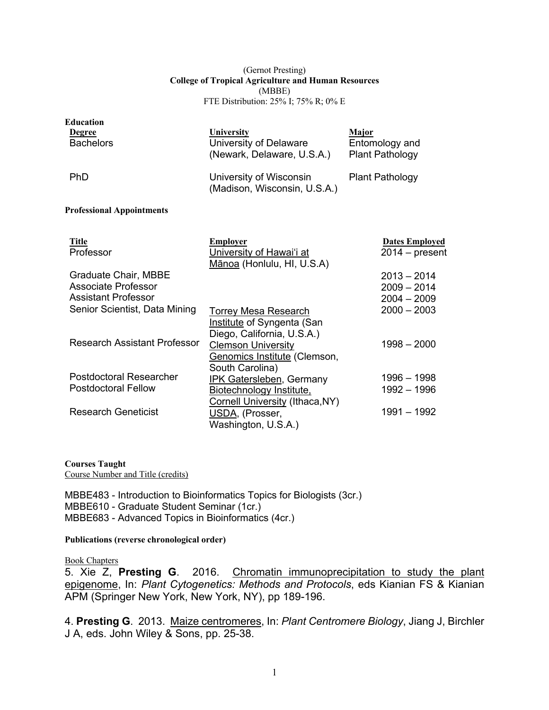#### (Gernot Presting) **College of Tropical Agriculture and Human Resources** (MBBE) FTE Distribution: 25% I; 75% R; 0% E

| Education<br><b>Degree</b>       | University                                              | Major                                    |
|----------------------------------|---------------------------------------------------------|------------------------------------------|
| <b>Bachelors</b>                 | University of Delaware<br>(Newark, Delaware, U.S.A.)    | Entomology and<br><b>Plant Pathology</b> |
| <b>PhD</b>                       | University of Wisconsin<br>(Madison, Wisconsin, U.S.A.) | <b>Plant Pathology</b>                   |
| <b>Professional Appointments</b> |                                                         |                                          |

| <b>Title</b>                  | Emplover                                               | <b>Dates Employed</b> |
|-------------------------------|--------------------------------------------------------|-----------------------|
| Professor                     | University of Hawai'i at<br>Mānoa (Honlulu, HI, U.S.A) | $2014 - present$      |
|                               |                                                        |                       |
| <b>Graduate Chair, MBBE</b>   |                                                        | $2013 - 2014$         |
| Associate Professor           |                                                        | $2009 - 2014$         |
| <b>Assistant Professor</b>    |                                                        | $2004 - 2009$         |
| Senior Scientist, Data Mining | <b>Torrey Mesa Research</b>                            | $2000 - 2003$         |
|                               | Institute of Syngenta (San                             |                       |
|                               | Diego, California, U.S.A.)                             |                       |
| Research Assistant Professor  | <b>Clemson University</b>                              | $1998 - 2000$         |
|                               | Genomics Institute (Clemson,                           |                       |
|                               | South Carolina)                                        |                       |
| Postdoctoral Researcher       | IPK Gatersleben, Germany                               | $1996 - 1998$         |
| <b>Postdoctoral Fellow</b>    | Biotechnology Institute,                               | $1992 - 1996$         |
|                               | Cornell University (Ithaca, NY)                        |                       |
| <b>Research Geneticist</b>    | USDA, (Prosser,                                        | $1991 - 1992$         |
|                               | Washington, U.S.A.)                                    |                       |

#### **Courses Taught**

Course Number and Title (credits)

MBBE483 - Introduction to Bioinformatics Topics for Biologists (3cr.) MBBE610 - Graduate Student Seminar (1cr.) MBBE683 - Advanced Topics in Bioinformatics (4cr.)

**Publications (reverse chronological order)**

#### Book Chapters

5. Xie Z, **Presting G**. 2016. Chromatin immunoprecipitation to study the plant epigenome, In: *Plant Cytogenetics: Methods and Protocols*, eds Kianian FS & Kianian APM (Springer New York, New York, NY), pp 189-196.

4. **Presting G**. 2013. Maize centromeres, In: *Plant Centromere Biology*, Jiang J, Birchler J A, eds. John Wiley & Sons, pp. 25-38.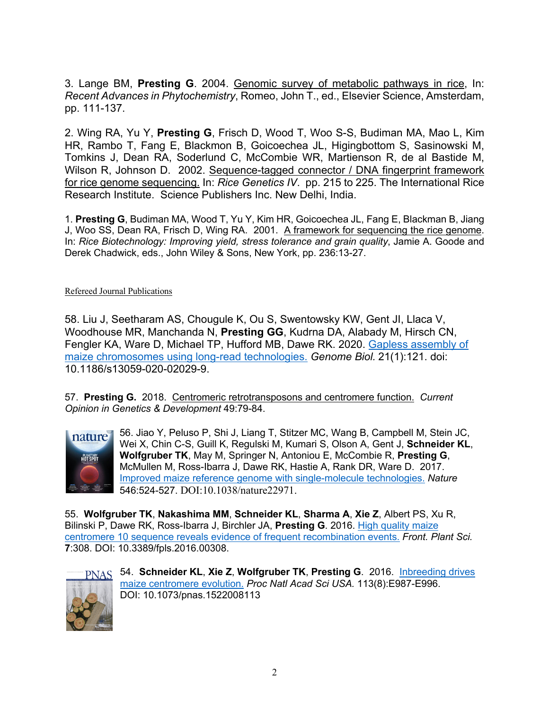3. Lange BM, **Presting G**. 2004. Genomic survey of metabolic pathways in rice, In: *Recent Advances in Phytochemistry*, Romeo, John T., ed., Elsevier Science, Amsterdam, pp. 111-137.

2. Wing RA, Yu Y, **Presting G**, Frisch D, Wood T, Woo S-S, Budiman MA, Mao L, Kim HR, Rambo T, Fang E, Blackmon B, Goicoechea JL, Higingbottom S, Sasinowski M, Tomkins J, Dean RA, Soderlund C, McCombie WR, Martienson R, de al Bastide M, Wilson R, Johnson D. 2002. Sequence-tagged connector / DNA fingerprint framework for rice genome sequencing. In: *Rice Genetics IV*. pp. 215 to 225. The International Rice Research Institute. Science Publishers Inc. New Delhi, India.

1. **Presting G**, Budiman MA, Wood T, Yu Y, Kim HR, Goicoechea JL, Fang E, Blackman B, Jiang J, Woo SS, Dean RA, Frisch D, Wing RA. 2001. A framework for sequencing the rice genome. In: *Rice Biotechnology: Improving yield, stress tolerance and grain quality*, Jamie A. Goode and Derek Chadwick, eds., John Wiley & Sons, New York, pp. 236:13-27.

Refereed Journal Publications

58. Liu J, Seetharam AS, Chougule K, Ou S, Swentowsky KW, Gent JI, Llaca V, Woodhouse MR, Manchanda N, **Presting GG**, Kudrna DA, Alabady M, Hirsch CN, Fengler KA, Ware D, Michael TP, Hufford MB, Dawe RK. 2020. Gapless assembly of maize chromosomes using long-read technologies. *Genome Biol.* 21(1):121. doi: 10.1186/s13059-020-02029-9.

57. **Presting G.** 2018. Centromeric retrotransposons and centromere function. *Current Opinion in Genetics & Development* 49:79-84.



56. Jiao Y, Peluso P, Shi J, Liang T, Stitzer MC, Wang B, Campbell M, Stein JC, Wei X, Chin C-S, Guill K, Regulski M, Kumari S, Olson A, Gent J, **Schneider KL**, **Wolfgruber TK**, May M, Springer N, Antoniou E, McCombie R, **Presting G**, McMullen M, Ross-Ibarra J, Dawe RK, Hastie A, Rank DR, Ware D. 2017. Improved maize reference genome with single-molecule technologies. *Nature* 546:524-527. DOI:10.1038/nature22971.

55. **Wolfgruber TK**, **Nakashima MM**, **Schneider KL**, **Sharma A**, **Xie Z**, Albert PS, Xu R, Bilinski P, Dawe RK, Ross-Ibarra J, Birchler JA, **Presting G**. 2016. High quality maize centromere 10 sequence reveals evidence of frequent recombination events. *Front. Plant Sci.* **7**:308. DOI: 10.3389/fpls.2016.00308.



54. **Schneider KL**, **Xie Z**, **Wolfgruber TK**, **Presting G**. 2016. Inbreeding drives maize centromere evolution. *Proc Natl Acad Sci USA.* 113(8):E987-E996. DOI: 10.1073/pnas.1522008113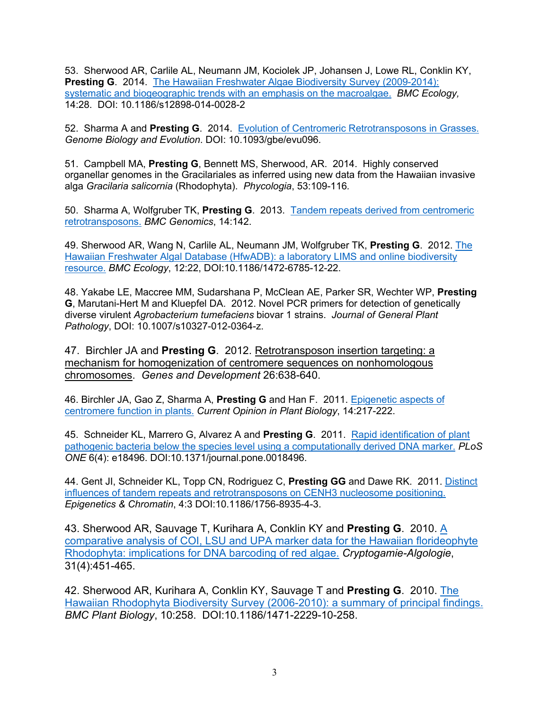53. Sherwood AR, Carlile AL, Neumann JM, Kociolek JP, Johansen J, Lowe RL, Conklin KY, **Presting G. 2014.** The Hawaiian Freshwater Algae Biodiversity Survey (2009-2014): systematic and biogeographic trends with an emphasis on the macroalgae. *BMC Ecology,*  14:28. DOI: 10.1186/s12898-014-0028-2

52. Sharma A and **Presting G**. 2014. Evolution of Centromeric Retrotransposons in Grasses. *Genome Biology and Evolution*. DOI: 10.1093/gbe/evu096*.*

51. Campbell MA, **Presting G**, Bennett MS, Sherwood, AR. 2014. Highly conserved organellar genomes in the Gracilariales as inferred using new data from the Hawaiian invasive alga *Gracilaria salicornia* (Rhodophyta). *Phycologia*, 53:109-116*.*

50. Sharma A, Wolfgruber TK, **Presting G**. 2013. Tandem repeats derived from centromeric retrotransposons. *BMC Genomics*, 14:142.

49. Sherwood AR, Wang N, Carlile AL, Neumann JM, Wolfgruber TK, **Presting G**. 2012. The Hawaiian Freshwater Algal Database (HfwADB): a laboratory LIMS and online biodiversity resource. *BMC Ecology*, 12:22, DOI:10.1186/1472-6785-12-22.

48. Yakabe LE, Maccree MM, Sudarshana P, McClean AE, Parker SR, Wechter WP, **Presting G**, Marutani-Hert M and Kluepfel DA. 2012. Novel PCR primers for detection of genetically diverse virulent *Agrobacterium tumefaciens* biovar 1 strains. *Journal of General Plant Pathology*, DOI: 10.1007/s10327-012-0364-z.

47. Birchler JA and **Presting G**. 2012. Retrotransposon insertion targeting: a mechanism for homogenization of centromere sequences on nonhomologous chromosomes. *Genes and Development* 26:638-640.

46. Birchler JA, Gao Z, Sharma A, **Presting G** and Han F. 2011. Epigenetic aspects of centromere function in plants. *Current Opinion in Plant Biology*, 14:217-222.

45. Schneider KL, Marrero G, Alvarez A and **Presting G**. 2011. Rapid identification of plant pathogenic bacteria below the species level using a computationally derived DNA marker. *PLoS ONE* 6(4): e18496. DOI:10.1371/journal.pone.0018496.

44. Gent JI, Schneider KL, Topp CN, Rodriguez C, **Presting GG** and Dawe RK. 2011. Distinct influences of tandem repeats and retrotransposons on CENH3 nucleosome positioning. *Epigenetics & Chromatin*, 4:3 DOI:10.1186/1756-8935-4-3.

43. Sherwood AR, Sauvage T, Kurihara A, Conklin KY and **Presting G**. 2010. A comparative analysis of COI, LSU and UPA marker data for the Hawaiian florideophyte Rhodophyta: implications for DNA barcoding of red algae. *Cryptogamie-Algologie*, 31(4):451-465.

42. Sherwood AR, Kurihara A, Conklin KY, Sauvage T and **Presting G**. 2010. The Hawaiian Rhodophyta Biodiversity Survey (2006-2010): a summary of principal findings. *BMC Plant Biology*, 10:258. DOI:10.1186/1471-2229-10-258.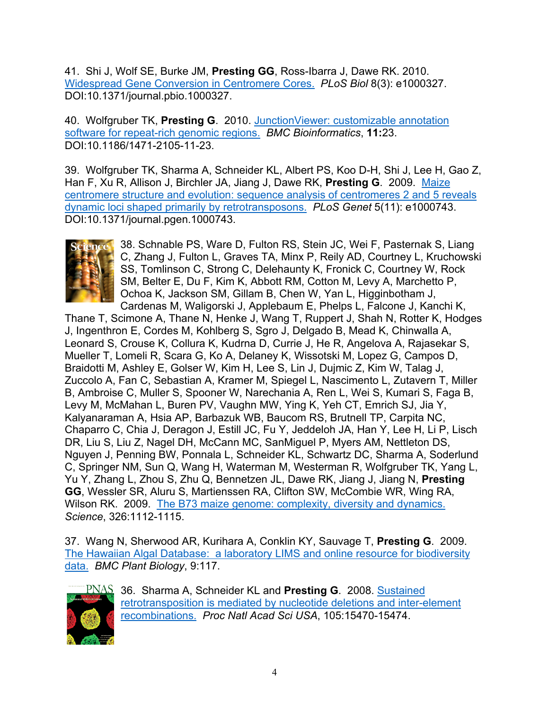41. Shi J, Wolf SE, Burke JM, **Presting GG**, Ross-Ibarra J, Dawe RK. 2010. Widespread Gene Conversion in Centromere Cores. *PLoS Biol* 8(3): e1000327. DOI:10.1371/journal.pbio.1000327.

40. Wolfgruber TK, **Presting G**. 2010. JunctionViewer: customizable annotation software for repeat-rich genomic regions. *BMC Bioinformatics*, **11:**23. DOI:10.1186/1471-2105-11-23.

39. Wolfgruber TK, Sharma A, Schneider KL, Albert PS, Koo D-H, Shi J, Lee H, Gao Z, Han F, Xu R, Allison J, Birchler JA, Jiang J, Dawe RK, **Presting G**. 2009. Maize centromere structure and evolution: sequence analysis of centromeres 2 and 5 reveals dynamic loci shaped primarily by retrotransposons. *PLoS Genet* 5(11): e1000743. DOI:10.1371/journal.pgen.1000743.



38. Schnable PS, Ware D, Fulton RS, Stein JC, Wei F, Pasternak S, Liang C, Zhang J, Fulton L, Graves TA, Minx P, Reily AD, Courtney L, Kruchowski SS, Tomlinson C, Strong C, Delehaunty K, Fronick C, Courtney W, Rock SM, Belter E, Du F, Kim K, Abbott RM, Cotton M, Levy A, Marchetto P, Ochoa K, Jackson SM, Gillam B, Chen W, Yan L, Higginbotham J, Cardenas M, Waligorski J, Applebaum E, Phelps L, Falcone J, Kanchi K,

Thane T, Scimone A, Thane N, Henke J, Wang T, Ruppert J, Shah N, Rotter K, Hodges J, Ingenthron E, Cordes M, Kohlberg S, Sgro J, Delgado B, Mead K, Chinwalla A, Leonard S, Crouse K, Collura K, Kudrna D, Currie J, He R, Angelova A, Rajasekar S, Mueller T, Lomeli R, Scara G, Ko A, Delaney K, Wissotski M, Lopez G, Campos D, Braidotti M, Ashley E, Golser W, Kim H, Lee S, Lin J, Dujmic Z, Kim W, Talag J, Zuccolo A, Fan C, Sebastian A, Kramer M, Spiegel L, Nascimento L, Zutavern T, Miller B, Ambroise C, Muller S, Spooner W, Narechania A, Ren L, Wei S, Kumari S, Faga B, Levy M, McMahan L, Buren PV, Vaughn MW, Ying K, Yeh CT, Emrich SJ, Jia Y, Kalyanaraman A, Hsia AP, Barbazuk WB, Baucom RS, Brutnell TP, Carpita NC, Chaparro C, Chia J, Deragon J, Estill JC, Fu Y, Jeddeloh JA, Han Y, Lee H, Li P, Lisch DR, Liu S, Liu Z, Nagel DH, McCann MC, SanMiguel P, Myers AM, Nettleton DS, Nguyen J, Penning BW, Ponnala L, Schneider KL, Schwartz DC, Sharma A, Soderlund C, Springer NM, Sun Q, Wang H, Waterman M, Westerman R, Wolfgruber TK, Yang L, Yu Y, Zhang L, Zhou S, Zhu Q, Bennetzen JL, Dawe RK, Jiang J, Jiang N, **Presting GG**, Wessler SR, Aluru S, Martienssen RA, Clifton SW, McCombie WR, Wing RA, Wilson RK. 2009. The B73 maize genome: complexity, diversity and dynamics. *Science*, 326:1112-1115.

37. Wang N, Sherwood AR, Kurihara A, Conklin KY, Sauvage T, **Presting G**. 2009. The Hawaiian Algal Database: a laboratory LIMS and online resource for biodiversity data. *BMC Plant Biology*, 9:117.



36. Sharma A, Schneider KL and **Presting G**. 2008. Sustained retrotransposition is mediated by nucleotide deletions and inter-element recombinations. *Proc Natl Acad Sci USA*, 105:15470-15474.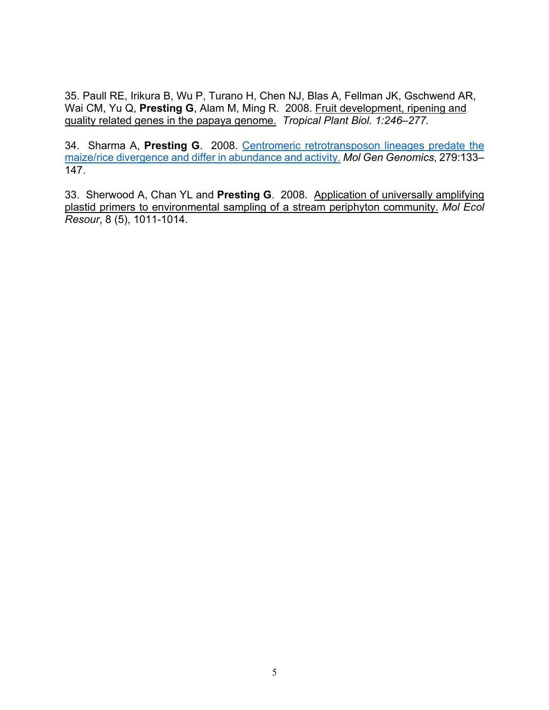35. Paull RE, Irikura B, Wu P, Turano H, Chen NJ, Blas A, Fellman JK, Gschwend AR, Wai CM, Yu Q, **Presting G**, Alam M, Ming R. 2008. Fruit development, ripening and quality related genes in the papaya genome. *Tropical Plant Biol. 1:246–277.*

34. Sharma A, **Presting G**. 2008. Centromeric retrotransposon lineages predate the maize/rice divergence and differ in abundance and activity. *Mol Gen Genomics*, 279:133– 147.

33. Sherwood A, Chan YL and **Presting G**. 2008. Application of universally amplifying plastid primers to environmental sampling of a stream periphyton community. *Mol Ecol Resour*, 8 (5), 1011-1014.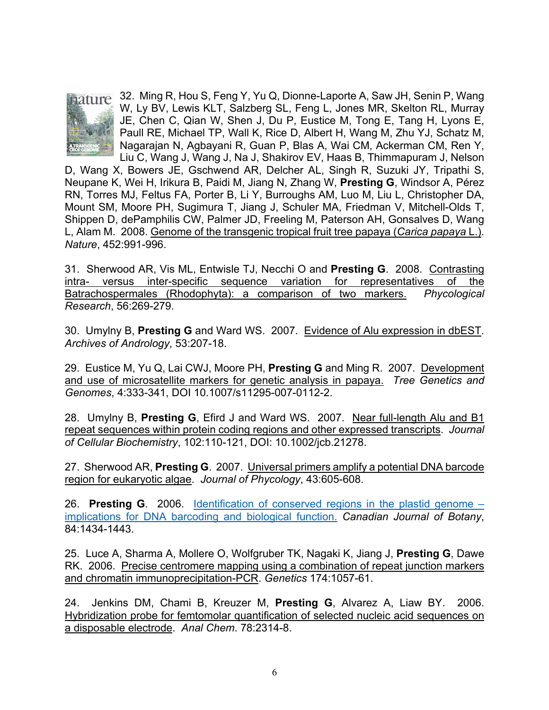

**1210** 32. Ming R, Hou S, Feng Y, Yu Q, Dionne-Laporte A, Saw JH, Senin P, Wang W, Ly BV, Lewis KLT, Salzberg SL, Feng L, Jones MR, Skelton RL, Murray JE, Chen C, Qian W, Shen J, Du P, Eustice M, Tong E, Tang H, Lyons E, Paull RE, Michael TP, Wall K, Rice D, Albert H, Wang M, Zhu YJ, Schatz M, Nagarajan N, Agbayani R, Guan P, Blas A, Wai CM, Ackerman CM, Ren Y, Liu C, Wang J, Wang J, Na J, Shakirov EV, Haas B, Thimmapuram J, Nelson

D, Wang X, Bowers JE, Gschwend AR, Delcher AL, Singh R, Suzuki JY, Tripathi S, Neupane K, Wei H, Irikura B, Paidi M, Jiang N, Zhang W, **Presting G**, Windsor A, Pérez RN, Torres MJ, Feltus FA, Porter B, Li Y, Burroughs AM, Luo M, Liu L, Christopher DA, Mount SM, Moore PH, Sugimura T, Jiang J, Schuler MA, Friedman V, Mitchell-Olds T, Shippen D, dePamphilis CW, Palmer JD, Freeling M, Paterson AH, Gonsalves D, Wang L, Alam M. 2008. Genome of the transgenic tropical fruit tree papaya (*Carica papaya* L.). *Nature*, 452:991-996.

31. Sherwood AR, Vis ML, Entwisle TJ, Necchi O and **Presting G**. 2008. Contrasting intra- versus inter-specific sequence variation for representatives of the Batrachospermales (Rhodophyta): a comparison of two markers. *Phycological Research*, 56:269-279.

30. Umylny B, **Presting G** and Ward WS. 2007. Evidence of Alu expression in dbEST. *Archives of Andrology*, 53:207-18.

29. Eustice M, Yu Q, Lai CWJ, Moore PH, **Presting G** and Ming R. 2007. Development and use of microsatellite markers for genetic analysis in papaya. *Tree Genetics and Genomes*, 4:333-341, DOI 10.1007/s11295-007-0112-2.

28. Umylny B, **Presting G**, Efird J and Ward WS. 2007. Near full-length Alu and B1 repeat sequences within protein coding regions and other expressed transcripts. *Journal of Cellular Biochemistry*, 102:110-121, DOI: 10.1002/jcb.21278.

27. Sherwood AR, **Presting G**. 2007. Universal primers amplify a potential DNA barcode region for eukaryotic algae. *Journal of Phycology*, 43:605-608.

26. **Presting G**. 2006. Identification of conserved regions in the plastid genome – implications for DNA barcoding and biological function. *Canadian Journal of Botany*, 84:1434-1443.

25. Luce A, Sharma A, Mollere O, Wolfgruber TK, Nagaki K, Jiang J, **Presting G**, Dawe RK. 2006. Precise centromere mapping using a combination of repeat junction markers and chromatin immunoprecipitation-PCR. *Genetics* 174:1057-61.

24. Jenkins DM, Chami B, Kreuzer M, **Presting G**, Alvarez A, Liaw BY. 2006. Hybridization probe for femtomolar quantification of selected nucleic acid sequences on a disposable electrode. *Anal Chem*. 78:2314-8.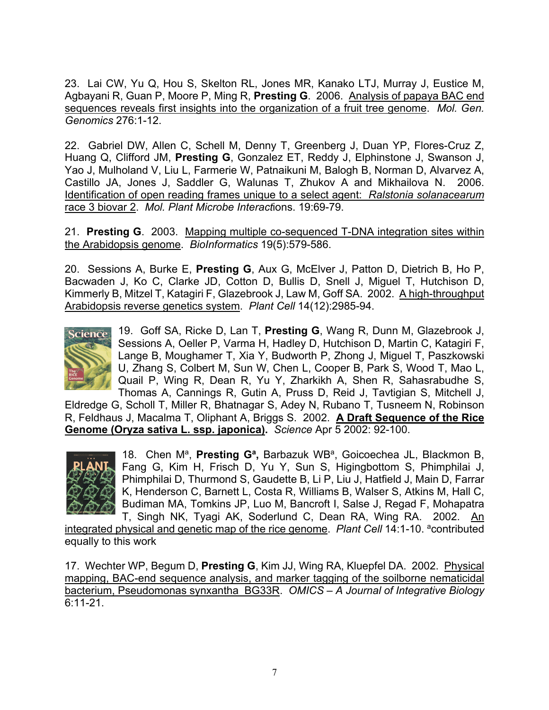23. Lai CW, Yu Q, Hou S, Skelton RL, Jones MR, Kanako LTJ, Murray J, Eustice M, Agbayani R, Guan P, Moore P, Ming R, **Presting G**. 2006. Analysis of papaya BAC end sequences reveals first insights into the organization of a fruit tree genome. *Mol. Gen. Genomics* 276:1-12.

22. Gabriel DW, Allen C, Schell M, Denny T, Greenberg J, Duan YP, Flores-Cruz Z, Huang Q, Clifford JM, **Presting G**, Gonzalez ET, Reddy J, Elphinstone J, Swanson J, Yao J, Mulholand V, Liu L, Farmerie W, Patnaikuni M, Balogh B, Norman D, Alvarvez A, Castillo JA, Jones J, Saddler G, Walunas T, Zhukov A and Mikhailova N. 2006. Identification of open reading frames unique to a select agent: *Ralstonia solanacearum* race 3 biovar 2. *Mol. Plant Microbe Interact*ions. 19:69-79.

21. **Presting G**. 2003. Mapping multiple co-sequenced T-DNA integration sites within the Arabidopsis genome. *BioInformatics* 19(5):579-586.

20. Sessions A, Burke E, **Presting G**, Aux G, McElver J, Patton D, Dietrich B, Ho P, Bacwaden J, Ko C, Clarke JD, Cotton D, Bullis D, Snell J, Miguel T, Hutchison D, Kimmerly B, Mitzel T, Katagiri F, Glazebrook J, Law M, Goff SA. 2002. A high-throughput Arabidopsis reverse genetics system. *Plant Cell* 14(12):2985-94.



19. Goff SA, Ricke D, Lan T, **Presting G**, Wang R, Dunn M, Glazebrook J, Sessions A, Oeller P, Varma H, Hadley D, Hutchison D, Martin C, Katagiri F, Lange B, Moughamer T, Xia Y, Budworth P, Zhong J, Miguel T, Paszkowski U, Zhang S, Colbert M, Sun W, Chen L, Cooper B, Park S, Wood T, Mao L, Quail P, Wing R, Dean R, Yu Y, Zharkikh A, Shen R, Sahasrabudhe S, Thomas A, Cannings R, Gutin A, Pruss D, Reid J, Tavtigian S, Mitchell J,

Eldredge G, Scholl T, Miller R, Bhatnagar S, Adey N, Rubano T, Tusneem N, Robinson R, Feldhaus J, Macalma T, Oliphant A, Briggs S. 2002. **A Draft Sequence of the Rice Genome (Oryza sativa L. ssp. japonica).** *Science* Apr 5 2002: 92-100.



18. Chen M<sup>a</sup>, Presting G<sup>a</sup>, Barbazuk WB<sup>a</sup>, Goicoechea JL, Blackmon B, Fang G, Kim H, Frisch D, Yu Y, Sun S, Higingbottom S, Phimphilai J, Phimphilai D, Thurmond S, Gaudette B, Li P, Liu J, Hatfield J, Main D, Farrar K, Henderson C, Barnett L, Costa R, Williams B, Walser S, Atkins M, Hall C, Budiman MA, Tomkins JP, Luo M, Bancroft I, Salse J, Regad F, Mohapatra T, Singh NK, Tyagi AK, Soderlund C, Dean RA, Wing RA. 2002. An

integrated physical and genetic map of the rice genome. *Plant Cell* 14:1-10. <sup>a</sup>contributed equally to this work

17. Wechter WP, Begum D, **Presting G**, Kim JJ, Wing RA, Kluepfel DA. 2002. Physical mapping, BAC-end sequence analysis, and marker tagging of the soilborne nematicidal bacterium, Pseudomonas synxantha BG33R. *OMICS – A Journal of Integrative Biology* 6:11-21.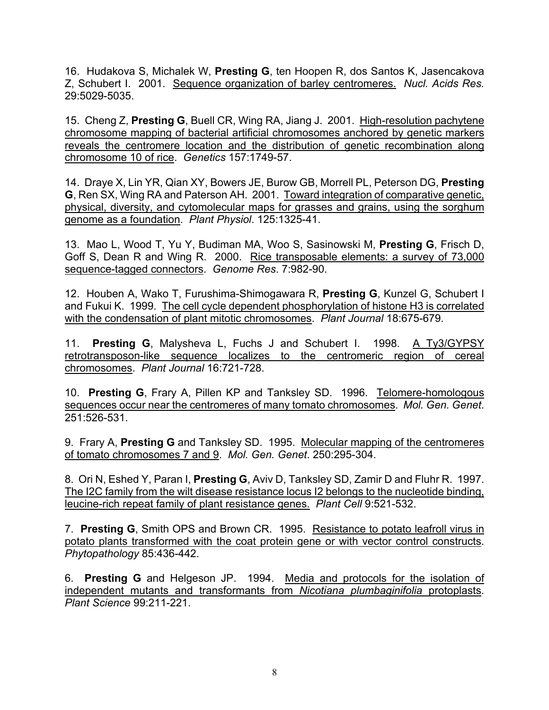16. Hudakova S, Michalek W, **Presting G**, ten Hoopen R, dos Santos K, Jasencakova Z, Schubert I. 2001. Sequence organization of barley centromeres. *Nucl. Acids Res.* 29:5029-5035.

15. Cheng Z, **Presting G**, Buell CR, Wing RA, Jiang J. 2001. High-resolution pachytene chromosome mapping of bacterial artificial chromosomes anchored by genetic markers reveals the centromere location and the distribution of genetic recombination along chromosome 10 of rice. *Genetics* 157:1749-57.

14. Draye X, Lin YR, Qian XY, Bowers JE, Burow GB, Morrell PL, Peterson DG, **Presting G**, Ren SX, Wing RA and Paterson AH. 2001. Toward integration of comparative genetic, physical, diversity, and cytomolecular maps for grasses and grains, using the sorghum genome as a foundation. *Plant Physiol*. 125:1325-41.

13. Mao L, Wood T, Yu Y, Budiman MA, Woo S, Sasinowski M, **Presting G**, Frisch D, Goff S, Dean R and Wing R. 2000. Rice transposable elements: a survey of 73,000 sequence-tagged connectors. *Genome Res*. 7:982-90.

12. Houben A, Wako T, Furushima-Shimogawara R, **Presting G**, Kunzel G, Schubert I and Fukui K. 1999. The cell cycle dependent phosphorylation of histone H3 is correlated with the condensation of plant mitotic chromosomes. *Plant Journal* 18:675-679.

11. **Presting G**, Malysheva L, Fuchs J and Schubert I. 1998. A Ty3/GYPSY retrotransposon-like sequence localizes to the centromeric region of cereal chromosomes. *Plant Journal* 16:721-728.

10. **Presting G**, Frary A, Pillen KP and Tanksley SD. 1996. Telomere-homologous sequences occur near the centromeres of many tomato chromosomes. *Mol. Gen. Genet*. 251:526-531.

9. Frary A, **Presting G** and Tanksley SD. 1995. Molecular mapping of the centromeres of tomato chromosomes 7 and 9. *Mol. Gen. Genet*. 250:295-304.

8. Ori N, Eshed Y, Paran I, **Presting G**, Aviv D, Tanksley SD, Zamir D and Fluhr R. 1997. The I2C family from the wilt disease resistance locus I2 belongs to the nucleotide binding, leucine-rich repeat family of plant resistance genes. *Plant Cell* 9:521-532.

7. **Presting G**, Smith OPS and Brown CR. 1995. Resistance to potato leafroll virus in potato plants transformed with the coat protein gene or with vector control constructs. *Phytopathology* 85:436-442.

6. **Presting G** and Helgeson JP. 1994. Media and protocols for the isolation of independent mutants and transformants from *Nicotiana plumbaginifolia* protoplasts. *Plant Science* 99:211-221.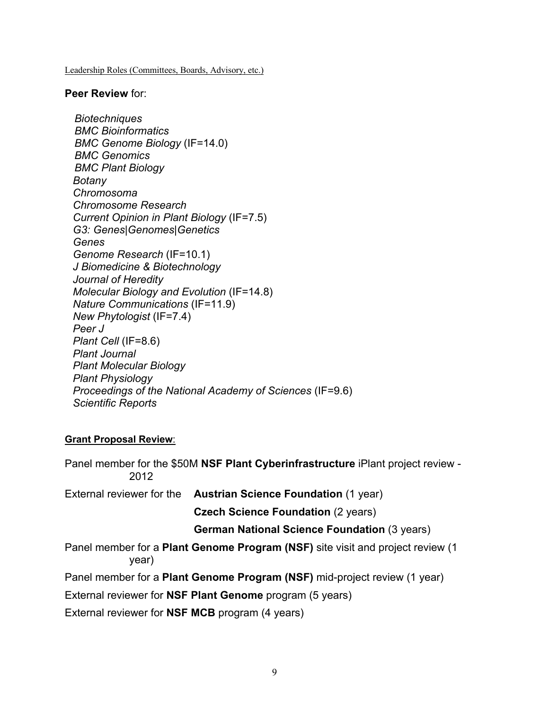Leadership Roles (Committees, Boards, Advisory, etc.)

#### **Peer Review** for:

*Biotechniques BMC Bioinformatics BMC Genome Biology* (IF=14.0) *BMC Genomics BMC Plant Biology Botany Chromosoma Chromosome Research Current Opinion in Plant Biology* (IF=7.5) *G3: Genes|Genomes|Genetics Genes Genome Research* (IF=10.1) *J Biomedicine & Biotechnology Journal of Heredity Molecular Biology and Evolution* (IF=14.8) *Nature Communications* (IF=11.9) *New Phytologist* (IF=7.4) *Peer J Plant Cell* (IF=8.6) *Plant Journal Plant Molecular Biology Plant Physiology Proceedings of the National Academy of Sciences* (IF=9.6) *Scientific Reports*

### **Grant Proposal Review**:

Panel member for the \$50M **NSF Plant Cyberinfrastructure** iPlant project review - 2012 External reviewer for the **Austrian Science Foundation** (1 year) **Czech Science Foundation** (2 years) **German National Science Foundation** (3 years) Panel member for a **Plant Genome Program (NSF)** site visit and project review (1 year) Panel member for a **Plant Genome Program (NSF)** mid-project review (1 year) External reviewer for **NSF Plant Genome** program (5 years) External reviewer for **NSF MCB** program (4 years)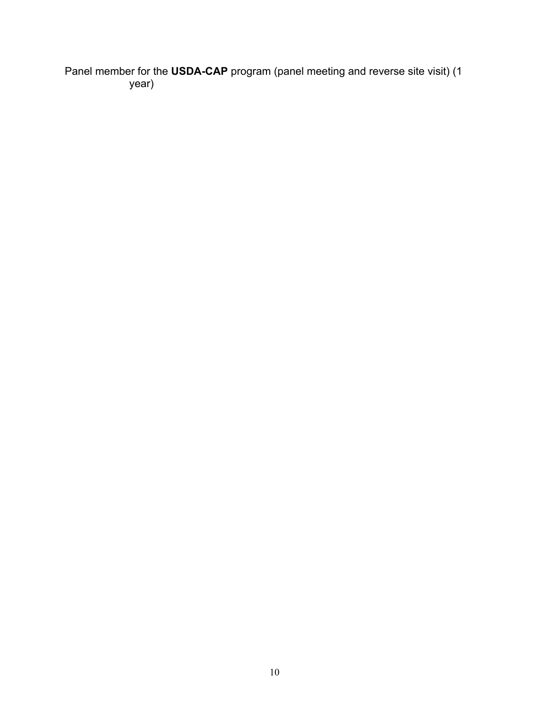Panel member for the **USDA-CAP** program (panel meeting and reverse site visit) (1 year)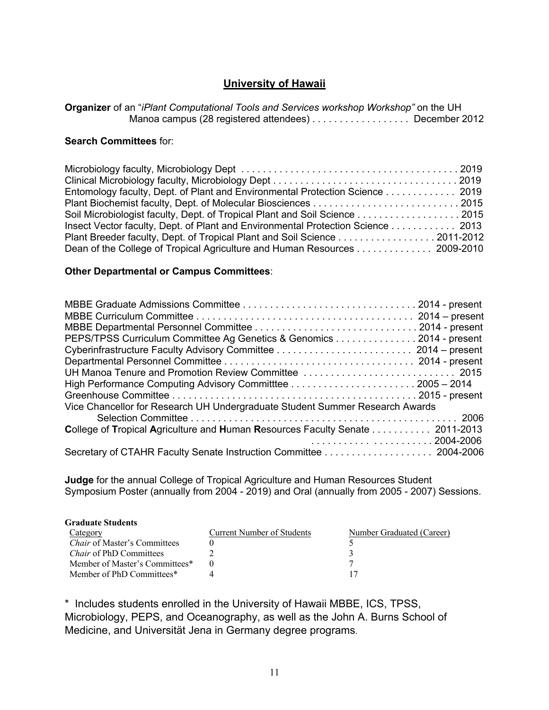# **University of Hawaii**

**Organizer** of an "*iPlant Computational Tools and Services workshop Workshop"* on the UH Manoa campus (28 registered attendees) . . . . . . . . . . . . . . . . December 2012

#### **Search Committees** for:

| Entomology faculty, Dept. of Plant and Environmental Protection Science 2019    |  |
|---------------------------------------------------------------------------------|--|
|                                                                                 |  |
| Soil Microbiologist faculty, Dept. of Tropical Plant and Soil Science 2015      |  |
| Insect Vector faculty, Dept. of Plant and Environmental Protection Science 2013 |  |
| Plant Breeder faculty, Dept. of Tropical Plant and Soil Science 2011-2012       |  |
| Dean of the College of Tropical Agriculture and Human Resources 2009-2010       |  |

### **Other Departmental or Campus Committees**:

| PEPS/TPSS Curriculum Committee Ag Genetics & Genomics 2014 - present                 |  |  |  |  |
|--------------------------------------------------------------------------------------|--|--|--|--|
|                                                                                      |  |  |  |  |
|                                                                                      |  |  |  |  |
|                                                                                      |  |  |  |  |
|                                                                                      |  |  |  |  |
|                                                                                      |  |  |  |  |
| Vice Chancellor for Research UH Undergraduate Student Summer Research Awards         |  |  |  |  |
|                                                                                      |  |  |  |  |
| <b>College of Tropical Agriculture and Human Resources Faculty Senate  2011-2013</b> |  |  |  |  |
|                                                                                      |  |  |  |  |
|                                                                                      |  |  |  |  |

**Judge** for the annual College of Tropical Agriculture and Human Resources Student Symposium Poster (annually from 2004 - 2019) and Oral (annually from 2005 - 2007) Sessions.

| <b>Graduate Students</b>            |                            |                           |
|-------------------------------------|----------------------------|---------------------------|
| Category                            | Current Number of Students | Number Graduated (Career) |
| <i>Chair</i> of Master's Committees |                            |                           |
| <i>Chair</i> of PhD Committees      |                            |                           |
| Member of Master's Committees*      |                            |                           |
| Member of PhD Committees*           |                            |                           |

\* Includes students enrolled in the University of Hawaii MBBE, ICS, TPSS, Microbiology, PEPS, and Oceanography, as well as the John A. Burns School of Medicine, and Universität Jena in Germany degree programs.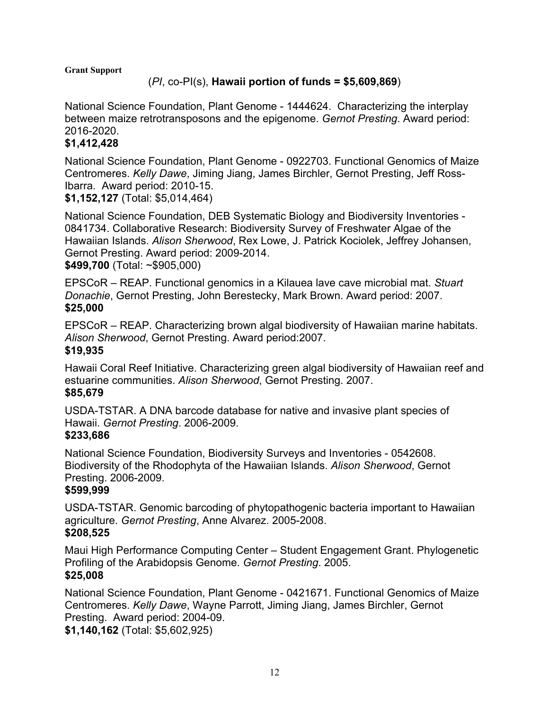#### **Grant Support**

# (*PI*, co-PI(s), **Hawaii portion of funds = \$5,609,869**)

National Science Foundation, Plant Genome - 1444624. Characterizing the interplay between maize retrotransposons and the epigenome. *Gernot Presting*. Award period: 2016-2020.

# **\$1,412,428**

National Science Foundation, Plant Genome - 0922703. Functional Genomics of Maize Centromeres. *Kelly Dawe*, Jiming Jiang, James Birchler, Gernot Presting, Jeff Ross-Ibarra. Award period: 2010-15.

**\$1,152,127** (Total: \$5,014,464)

National Science Foundation, DEB Systematic Biology and Biodiversity Inventories - 0841734. Collaborative Research: Biodiversity Survey of Freshwater Algae of the Hawaiian Islands. *Alison Sherwood*, Rex Lowe, J. Patrick Kociolek, Jeffrey Johansen, Gernot Presting. Award period: 2009-2014. **\$499,700** (Total: ~\$905,000)

EPSCoR – REAP. Functional genomics in a Kilauea lave cave microbial mat. *Stuart Donachie*, Gernot Presting, John Berestecky, Mark Brown. Award period: 2007. **\$25,000**

EPSCoR – REAP. Characterizing brown algal biodiversity of Hawaiian marine habitats. *Alison Sherwood*, Gernot Presting. Award period:2007. **\$19,935**

Hawaii Coral Reef Initiative. Characterizing green algal biodiversity of Hawaiian reef and estuarine communities. *Alison Sherwood*, Gernot Presting. 2007. **\$85,679**

USDA-TSTAR. A DNA barcode database for native and invasive plant species of Hawaii. *Gernot Presting*. 2006-2009.

## **\$233,686**

National Science Foundation, Biodiversity Surveys and Inventories - 0542608. Biodiversity of the Rhodophyta of the Hawaiian Islands. *Alison Sherwood*, Gernot Presting. 2006-2009.

## **\$599,999**

USDA-TSTAR. Genomic barcoding of phytopathogenic bacteria important to Hawaiian agriculture. *Gernot Presting*, Anne Alvarez. 2005-2008. **\$208,525**

Maui High Performance Computing Center – Student Engagement Grant. Phylogenetic Profiling of the Arabidopsis Genome. *Gernot Presting*. 2005. **\$25,008**

National Science Foundation, Plant Genome - 0421671. Functional Genomics of Maize Centromeres. *Kelly Dawe*, Wayne Parrott, Jiming Jiang, James Birchler, Gernot Presting. Award period: 2004-09.

**\$1,140,162** (Total: \$5,602,925)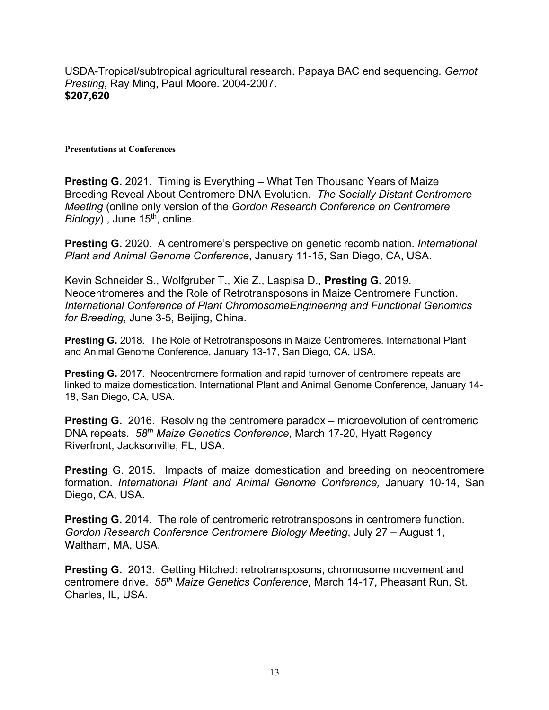USDA-Tropical/subtropical agricultural research. Papaya BAC end sequencing. *Gernot Presting*, Ray Ming, Paul Moore. 2004-2007. **\$207,620**

#### **Presentations at Conferences**

**Presting G.** 2021.Timing is Everything – What Ten Thousand Years of Maize Breeding Reveal About Centromere DNA Evolution. *The Socially Distant Centromere Meeting* (online only version of the *Gordon Research Conference on Centromere Biology*), June 15<sup>th</sup>, online.

**Presting G.** 2020.A centromere's perspective on genetic recombination. *International Plant and Animal Genome Conference*, January 11-15, San Diego, CA, USA.

Kevin Schneider S., Wolfgruber T., Xie Z., Laspisa D., **Presting G.** 2019. Neocentromeres and the Role of Retrotransposons in Maize Centromere Function. *International Conference of Plant ChromosomeEngineering and Functional Genomics for Breeding*, June 3-5, Beijing, China.

**Presting G.** 2018. The Role of Retrotransposons in Maize Centromeres. International Plant and Animal Genome Conference, January 13-17, San Diego, CA, USA.

**Presting G.** 2017. Neocentromere formation and rapid turnover of centromere repeats are linked to maize domestication. International Plant and Animal Genome Conference, January 14- 18, San Diego, CA, USA.

**Presting G.** 2016. Resolving the centromere paradox – microevolution of centromeric DNA repeats. *58th Maize Genetics Conference*, March 17-20, Hyatt Regency Riverfront, Jacksonville, FL, USA.

**Presting** G. 2015. Impacts of maize domestication and breeding on neocentromere formation. *International Plant and Animal Genome Conference,* January 10-14, San Diego, CA, USA.

**Presting G.** 2014. The role of centromeric retrotransposons in centromere function. *Gordon Research Conference Centromere Biology Meeting*, July 27 – August 1, Waltham, MA, USA.

**Presting G.** 2013. Getting Hitched: retrotransposons, chromosome movement and centromere drive. *55th Maize Genetics Conference*, March 14-17, Pheasant Run, St. Charles, IL, USA.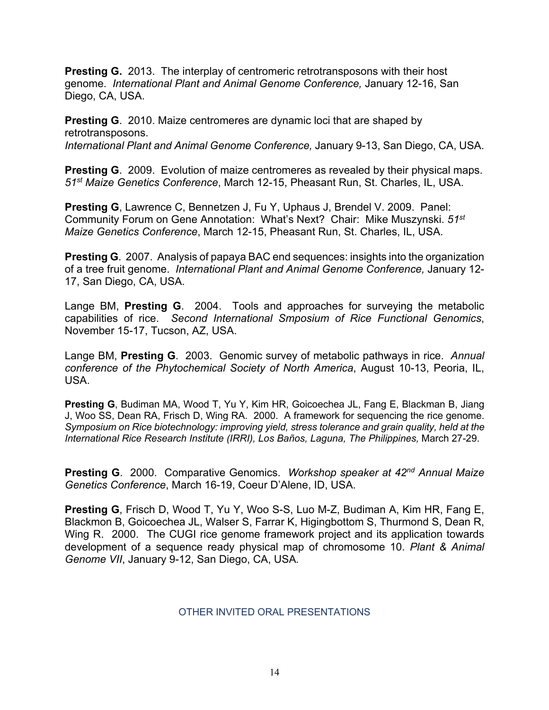**Presting G.** 2013. The interplay of centromeric retrotransposons with their host genome. *International Plant and Animal Genome Conference,* January 12-16, San Diego, CA, USA.

**Presting G**. 2010. Maize centromeres are dynamic loci that are shaped by retrotransposons. *International Plant and Animal Genome Conference,* January 9-13, San Diego, CA, USA.

**Presting G**. 2009. Evolution of maize centromeres as revealed by their physical maps. *51st Maize Genetics Conference*, March 12-15, Pheasant Run, St. Charles, IL, USA.

**Presting G**, Lawrence C, Bennetzen J, Fu Y, Uphaus J, Brendel V. 2009. Panel: Community Forum on Gene Annotation: What's Next? Chair: Mike Muszynski. *51st Maize Genetics Conference*, March 12-15, Pheasant Run, St. Charles, IL, USA.

**Presting G**. 2007. Analysis of papaya BAC end sequences: insights into the organization of a tree fruit genome. *International Plant and Animal Genome Conference,* January 12- 17, San Diego, CA, USA.

Lange BM, **Presting G**. 2004. Tools and approaches for surveying the metabolic capabilities of rice. *Second International Smposium of Rice Functional Genomics*, November 15-17, Tucson, AZ, USA.

Lange BM, **Presting G**. 2003. Genomic survey of metabolic pathways in rice. *Annual conference of the Phytochemical Society of North America*, August 10-13, Peoria, IL, USA.

**Presting G**, Budiman MA, Wood T, Yu Y, Kim HR, Goicoechea JL, Fang E, Blackman B, Jiang J, Woo SS, Dean RA, Frisch D, Wing RA. 2000. A framework for sequencing the rice genome. *Symposium on Rice biotechnology: improving yield, stress tolerance and grain quality, held at the International Rice Research Institute (IRRI), Los Baños, Laguna, The Philippines,* March 27-29.

**Presting G**. 2000. Comparative Genomics. *Workshop speaker at 42nd Annual Maize Genetics Conference*, March 16-19, Coeur D'Alene, ID, USA.

**Presting G**, Frisch D, Wood T, Yu Y, Woo S-S, Luo M-Z, Budiman A, Kim HR, Fang E, Blackmon B, Goicoechea JL, Walser S, Farrar K, Higingbottom S, Thurmond S, Dean R, Wing R. 2000. The CUGI rice genome framework project and its application towards development of a sequence ready physical map of chromosome 10. *Plant & Animal Genome VII*, January 9-12, San Diego, CA, USA*.*

## OTHER INVITED ORAL PRESENTATIONS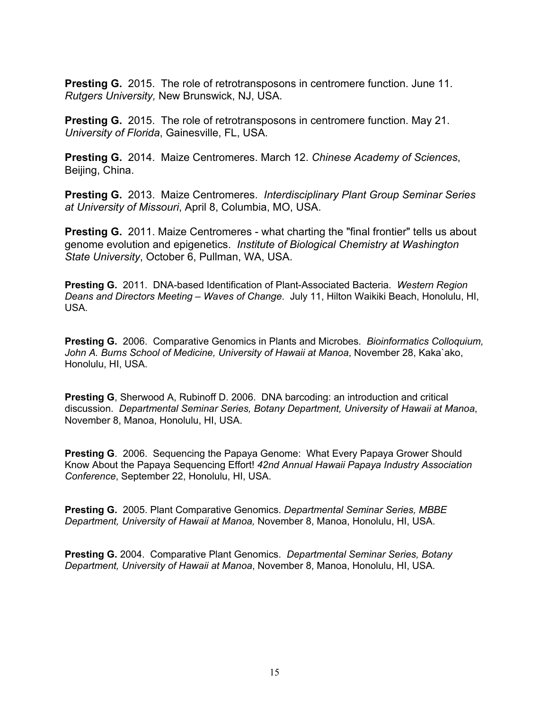**Presting G.** 2015. The role of retrotransposons in centromere function. June 11. *Rutgers University,* New Brunswick, NJ, USA.

**Presting G.** 2015. The role of retrotransposons in centromere function. May 21. *University of Florida*, Gainesville, FL, USA.

**Presting G.** 2014. Maize Centromeres. March 12. *Chinese Academy of Sciences*, Beijing, China.

**Presting G.** 2013. Maize Centromeres. *Interdisciplinary Plant Group Seminar Series at University of Missouri*, April 8, Columbia, MO, USA.

**Presting G.** 2011. Maize Centromeres - what charting the "final frontier" tells us about genome evolution and epigenetics. *Institute of Biological Chemistry at Washington State University*, October 6, Pullman, WA, USA.

**Presting G.** 2011. DNA-based Identification of Plant-Associated Bacteria. *Western Region Deans and Directors Meeting – Waves of Change*. July 11, Hilton Waikiki Beach, Honolulu, HI, USA.

**Presting G.** 2006. Comparative Genomics in Plants and Microbes. *Bioinformatics Colloquium, John A. Burns School of Medicine, University of Hawaii at Manoa*, November 28, Kaka`ako, Honolulu, HI, USA.

**Presting G**, Sherwood A, Rubinoff D. 2006. DNA barcoding: an introduction and critical discussion. *Departmental Seminar Series, Botany Department, University of Hawaii at Manoa*, November 8, Manoa, Honolulu, HI, USA.

**Presting G**. 2006. Sequencing the Papaya Genome: What Every Papaya Grower Should Know About the Papaya Sequencing Effort! *42nd Annual Hawaii Papaya Industry Association Conference*, September 22, Honolulu, HI, USA.

**Presting G.** 2005. Plant Comparative Genomics. *Departmental Seminar Series, MBBE Department, University of Hawaii at Manoa,* November 8, Manoa, Honolulu, HI, USA.

**Presting G.** 2004. Comparative Plant Genomics. *Departmental Seminar Series, Botany Department, University of Hawaii at Manoa*, November 8, Manoa, Honolulu, HI, USA.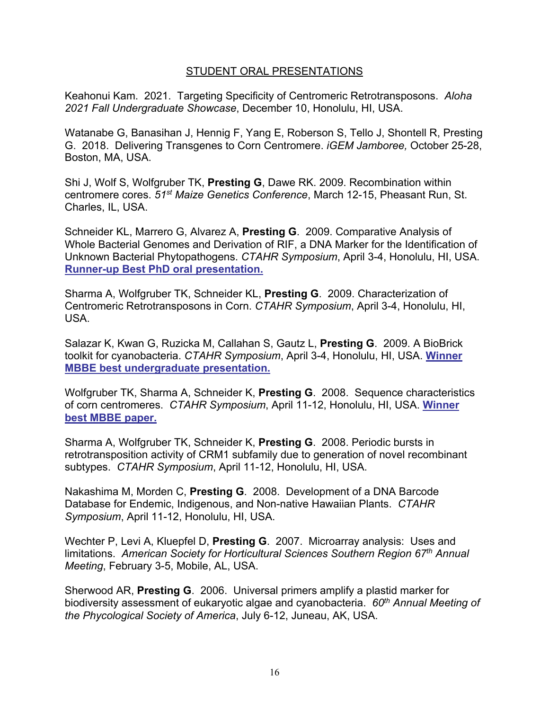## STUDENT ORAL PRESENTATIONS

Keahonui Kam. 2021. Targeting Specificity of Centromeric Retrotransposons. *Aloha 2021 Fall Undergraduate Showcase*, December 10, Honolulu, HI, USA.

Watanabe G, Banasihan J, Hennig F, Yang E, Roberson S, Tello J, Shontell R, Presting G. 2018. Delivering Transgenes to Corn Centromere. *iGEM Jamboree,* October 25-28, Boston, MA, USA.

Shi J, Wolf S, Wolfgruber TK, **Presting G**, Dawe RK. 2009. Recombination within centromere cores. *51st Maize Genetics Conference*, March 12-15, Pheasant Run, St. Charles, IL, USA.

Schneider KL, Marrero G, Alvarez A, **Presting G**. 2009. Comparative Analysis of Whole Bacterial Genomes and Derivation of RIF, a DNA Marker for the Identification of Unknown Bacterial Phytopathogens. *CTAHR Symposium*, April 3-4, Honolulu, HI, USA. **Runner-up Best PhD oral presentation.**

Sharma A, Wolfgruber TK, Schneider KL, **Presting G**. 2009. Characterization of Centromeric Retrotransposons in Corn. *CTAHR Symposium*, April 3-4, Honolulu, HI, USA.

Salazar K, Kwan G, Ruzicka M, Callahan S, Gautz L, **Presting G**. 2009. A BioBrick toolkit for cyanobacteria. *CTAHR Symposium*, April 3-4, Honolulu, HI, USA. **Winner MBBE best undergraduate presentation.**

Wolfgruber TK, Sharma A, Schneider K, **Presting G**. 2008. Sequence characteristics of corn centromeres. *CTAHR Symposium*, April 11-12, Honolulu, HI, USA. **Winner best MBBE paper.**

Sharma A, Wolfgruber TK, Schneider K, **Presting G**. 2008. Periodic bursts in retrotransposition activity of CRM1 subfamily due to generation of novel recombinant subtypes. *CTAHR Symposium*, April 11-12, Honolulu, HI, USA.

Nakashima M, Morden C, **Presting G**. 2008. Development of a DNA Barcode Database for Endemic, Indigenous, and Non-native Hawaiian Plants. *CTAHR Symposium*, April 11-12, Honolulu, HI, USA.

Wechter P, Levi A, Kluepfel D, **Presting G**. 2007. Microarray analysis: Uses and limitations. *American Society for Horticultural Sciences Southern Region 67th Annual Meeting*, February 3-5, Mobile, AL, USA.

Sherwood AR, **Presting G**. 2006. Universal primers amplify a plastid marker for biodiversity assessment of eukaryotic algae and cyanobacteria. *60th Annual Meeting of the Phycological Society of America*, July 6-12, Juneau, AK, USA.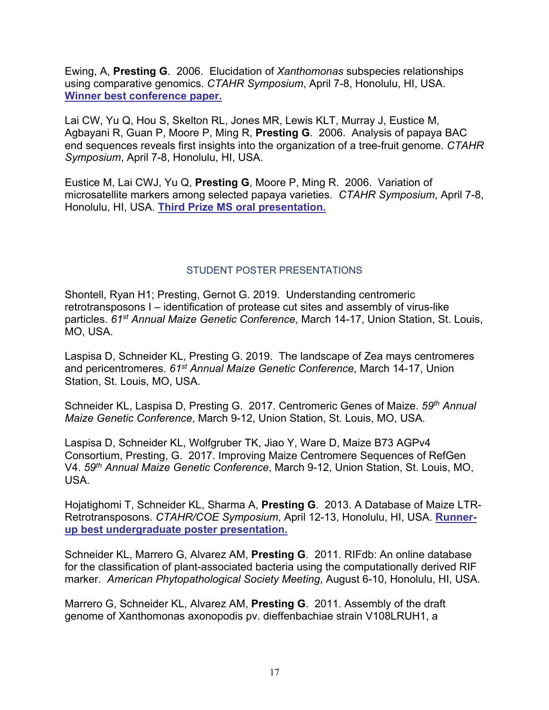Ewing, A, **Presting G**. 2006. Elucidation of *Xanthomonas* subspecies relationships using comparative genomics. *CTAHR Symposium*, April 7-8, Honolulu, HI, USA. **Winner best conference paper.**

Lai CW, Yu Q, Hou S, Skelton RL, Jones MR, Lewis KLT, Murray J, Eustice M, Agbayani R, Guan P, Moore P, Ming R, **Presting G**. 2006. Analysis of papaya BAC end sequences reveals first insights into the organization of a tree-fruit genome. *CTAHR Symposium*, April 7-8, Honolulu, HI, USA.

Eustice M, Lai CWJ, Yu Q, **Presting G**, Moore P, Ming R. 2006. Variation of microsatellite markers among selected papaya varieties. *CTAHR Symposium*, April 7-8, Honolulu, HI, USA. **Third Prize MS oral presentation.**

# STUDENT POSTER PRESENTATIONS

Shontell, Ryan H1; Presting, Gernot G. 2019. Understanding centromeric retrotransposons I – identification of protease cut sites and assembly of virus-like particles. *61st Annual Maize Genetic Conference*, March 14-17, Union Station, St. Louis, MO, USA.

Laspisa D, Schneider KL, Presting G. 2019. The landscape of Zea mays centromeres and pericentromeres. *61st Annual Maize Genetic Conference*, March 14-17, Union Station, St. Louis, MO, USA.

Schneider KL, Laspisa D, Presting G. 2017. Centromeric Genes of Maize. *59th Annual Maize Genetic Conference*, March 9-12, Union Station, St. Louis, MO, USA.

Laspisa D, Schneider KL, Wolfgruber TK, Jiao Y, Ware D, Maize B73 AGPv4 Consortium, Presting, G. 2017. Improving Maize Centromere Sequences of RefGen V4. *59th Annual Maize Genetic Conference*, March 9-12, Union Station, St. Louis, MO, USA.

Hojatighomi T, Schneider KL, Sharma A, **Presting G**. 2013. A Database of Maize LTR-Retrotransposons. *CTAHR/COE Symposium*, April 12-13, Honolulu, HI, USA. **Runnerup best undergraduate poster presentation.**

Schneider KL, Marrero G, Alvarez AM, **Presting G**. 2011. RIFdb: An online database for the classification of plant-associated bacteria using the computationally derived RIF marker. *American Phytopathological Society Meeting*, August 6-10, Honolulu, HI, USA.

Marrero G, Schneider KL, Alvarez AM, **Presting G**. 2011. Assembly of the draft genome of Xanthomonas axonopodis pv. dieffenbachiae strain V108LRUH1, a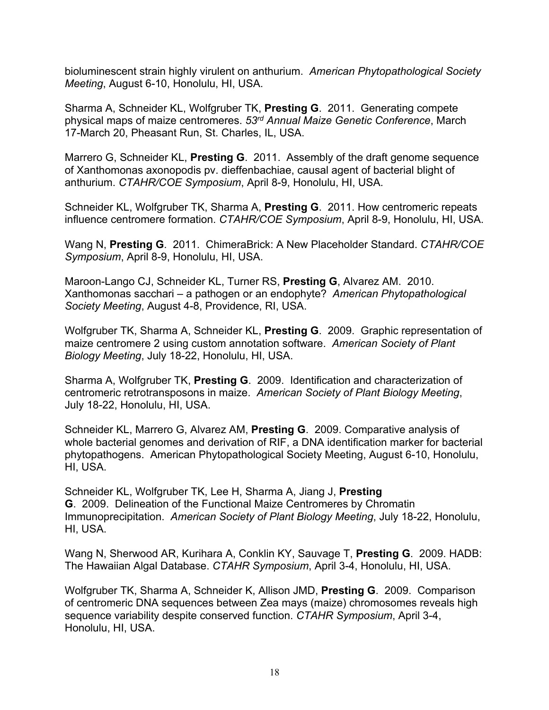bioluminescent strain highly virulent on anthurium. *American Phytopathological Society Meeting*, August 6-10, Honolulu, HI, USA.

Sharma A, Schneider KL, Wolfgruber TK, **Presting G**. 2011. Generating compete physical maps of maize centromeres. *53rd Annual Maize Genetic Conference*, March 17-March 20, Pheasant Run, St. Charles, IL, USA.

Marrero G, Schneider KL, **Presting G**. 2011. Assembly of the draft genome sequence of Xanthomonas axonopodis pv. dieffenbachiae, causal agent of bacterial blight of anthurium. *CTAHR/COE Symposium*, April 8-9, Honolulu, HI, USA.

Schneider KL, Wolfgruber TK, Sharma A, **Presting G**. 2011. How centromeric repeats influence centromere formation. *CTAHR/COE Symposium*, April 8-9, Honolulu, HI, USA.

Wang N, **Presting G**. 2011. ChimeraBrick: A New Placeholder Standard. *CTAHR/COE Symposium*, April 8-9, Honolulu, HI, USA.

Maroon-Lango CJ, Schneider KL, Turner RS, **Presting G**, Alvarez AM. 2010. Xanthomonas sacchari – a pathogen or an endophyte? *American Phytopathological Society Meeting*, August 4-8, Providence, RI, USA.

Wolfgruber TK, Sharma A, Schneider KL, **Presting G**. 2009. Graphic representation of maize centromere 2 using custom annotation software. *American Society of Plant Biology Meeting*, July 18-22, Honolulu, HI, USA.

Sharma A, Wolfgruber TK, **Presting G**. 2009. Identification and characterization of centromeric retrotransposons in maize. *American Society of Plant Biology Meeting*, July 18-22, Honolulu, HI, USA.

Schneider KL, Marrero G, Alvarez AM, **Presting G**. 2009. Comparative analysis of whole bacterial genomes and derivation of RIF, a DNA identification marker for bacterial phytopathogens. American Phytopathological Society Meeting, August 6-10, Honolulu, HI, USA.

Schneider KL, Wolfgruber TK, Lee H, Sharma A, Jiang J, **Presting G**. 2009. Delineation of the Functional Maize Centromeres by Chromatin Immunoprecipitation. *American Society of Plant Biology Meeting*, July 18-22, Honolulu, HI, USA.

Wang N, Sherwood AR, Kurihara A, Conklin KY, Sauvage T, **Presting G**. 2009. HADB: The Hawaiian Algal Database. *CTAHR Symposium*, April 3-4, Honolulu, HI, USA.

Wolfgruber TK, Sharma A, Schneider K, Allison JMD, **Presting G**. 2009. Comparison of centromeric DNA sequences between Zea mays (maize) chromosomes reveals high sequence variability despite conserved function. *CTAHR Symposium*, April 3-4, Honolulu, HI, USA.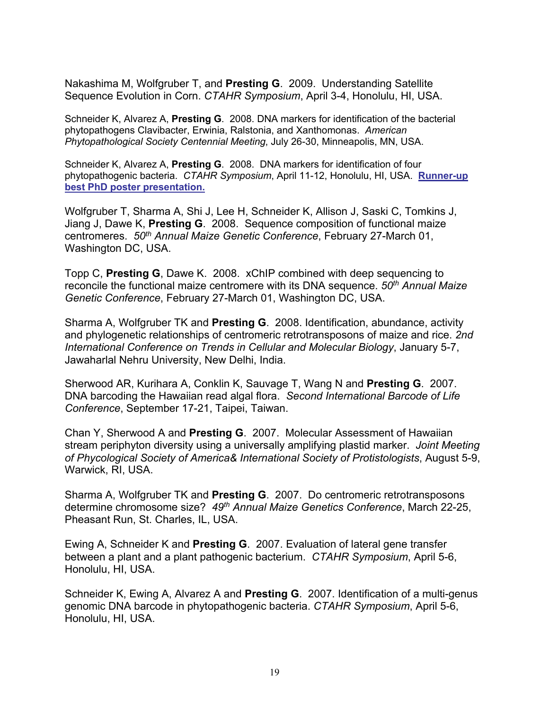Nakashima M, Wolfgruber T, and **Presting G**. 2009. Understanding Satellite Sequence Evolution in Corn. *CTAHR Symposium*, April 3-4, Honolulu, HI, USA.

Schneider K, Alvarez A, **Presting G**. 2008. DNA markers for identification of the bacterial phytopathogens Clavibacter, Erwinia, Ralstonia, and Xanthomonas. *American Phytopathological Society Centennial Meeting*, July 26-30, Minneapolis, MN, USA.

Schneider K, Alvarez A, **Presting G**. 2008. DNA markers for identification of four phytopathogenic bacteria. *CTAHR Symposium*, April 11-12, Honolulu, HI, USA. **Runner-up best PhD poster presentation.**

Wolfgruber T, Sharma A, Shi J, Lee H, Schneider K, Allison J, Saski C, Tomkins J, Jiang J, Dawe K, **Presting G**. 2008. Sequence composition of functional maize centromeres. *50th Annual Maize Genetic Conference*, February 27-March 01, Washington DC, USA.

Topp C, **Presting G**, Dawe K. 2008. xChIP combined with deep sequencing to reconcile the functional maize centromere with its DNA sequence. *50th Annual Maize Genetic Conference*, February 27-March 01, Washington DC, USA.

Sharma A, Wolfgruber TK and **Presting G**. 2008. Identification, abundance, activity and phylogenetic relationships of centromeric retrotransposons of maize and rice. *2nd International Conference on Trends in Cellular and Molecular Biology*, January 5-7, Jawaharlal Nehru University, New Delhi, India.

Sherwood AR, Kurihara A, Conklin K, Sauvage T, Wang N and **Presting G**. 2007. DNA barcoding the Hawaiian read algal flora. *Second International Barcode of Life Conference*, September 17-21, Taipei, Taiwan.

Chan Y, Sherwood A and **Presting G**. 2007. Molecular Assessment of Hawaiian stream periphyton diversity using a universally amplifying plastid marker. *Joint Meeting of Phycological Society of America& International Society of Protistologists*, August 5-9, Warwick, RI, USA.

Sharma A, Wolfgruber TK and **Presting G**. 2007. Do centromeric retrotransposons determine chromosome size? *49th Annual Maize Genetics Conference*, March 22-25, Pheasant Run, St. Charles, IL, USA.

Ewing A, Schneider K and **Presting G**. 2007. Evaluation of lateral gene transfer between a plant and a plant pathogenic bacterium. *CTAHR Symposium*, April 5-6, Honolulu, HI, USA.

Schneider K, Ewing A, Alvarez A and **Presting G**. 2007. Identification of a multi-genus genomic DNA barcode in phytopathogenic bacteria. *CTAHR Symposium*, April 5-6, Honolulu, HI, USA.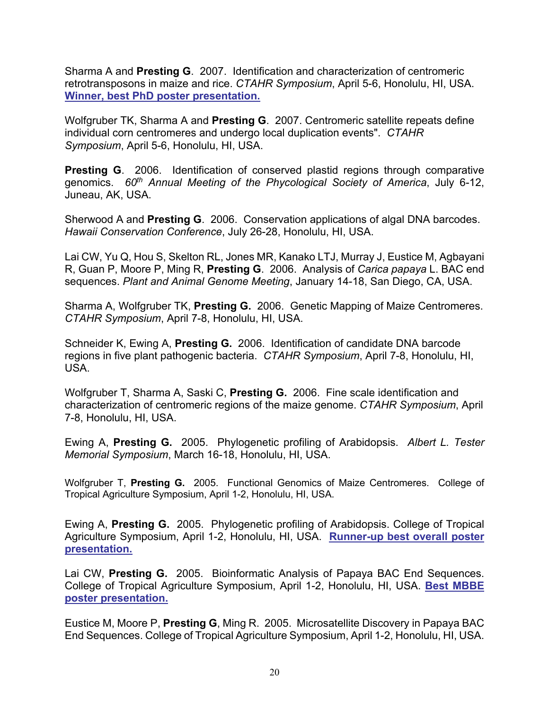Sharma A and **Presting G**. 2007. Identification and characterization of centromeric retrotransposons in maize and rice. *CTAHR Symposium*, April 5-6, Honolulu, HI, USA. **Winner, best PhD poster presentation.**

Wolfgruber TK, Sharma A and **Presting G**. 2007. Centromeric satellite repeats define individual corn centromeres and undergo local duplication events". *CTAHR Symposium*, April 5-6, Honolulu, HI, USA.

**Presting G.** 2006. Identification of conserved plastid regions through comparative genomics. *60th Annual Meeting of the Phycological Society of America*, July 6-12, Juneau, AK, USA.

Sherwood A and **Presting G**. 2006. Conservation applications of algal DNA barcodes. *Hawaii Conservation Conference*, July 26-28, Honolulu, HI, USA.

Lai CW, Yu Q, Hou S, Skelton RL, Jones MR, Kanako LTJ, Murray J, Eustice M, Agbayani R, Guan P, Moore P, Ming R, **Presting G**. 2006. Analysis of *Carica papaya* L. BAC end sequences. *Plant and Animal Genome Meeting*, January 14-18, San Diego, CA, USA.

Sharma A, Wolfgruber TK, **Presting G.** 2006. Genetic Mapping of Maize Centromeres. *CTAHR Symposium*, April 7-8, Honolulu, HI, USA.

Schneider K, Ewing A, **Presting G.** 2006. Identification of candidate DNA barcode regions in five plant pathogenic bacteria. *CTAHR Symposium*, April 7-8, Honolulu, HI, USA.

Wolfgruber T, Sharma A, Saski C, **Presting G.** 2006. Fine scale identification and characterization of centromeric regions of the maize genome. *CTAHR Symposium*, April 7-8, Honolulu, HI, USA.

Ewing A, **Presting G.** 2005. Phylogenetic profiling of Arabidopsis. *Albert L. Tester Memorial Symposium*, March 16-18, Honolulu, HI, USA.

Wolfgruber T, **Presting G.** 2005. Functional Genomics of Maize Centromeres. College of Tropical Agriculture Symposium, April 1-2, Honolulu, HI, USA.

Ewing A, **Presting G.** 2005. Phylogenetic profiling of Arabidopsis. College of Tropical Agriculture Symposium, April 1-2, Honolulu, HI, USA. **Runner-up best overall poster presentation.**

Lai CW, **Presting G.** 2005. Bioinformatic Analysis of Papaya BAC End Sequences. College of Tropical Agriculture Symposium, April 1-2, Honolulu, HI, USA. **Best MBBE poster presentation.**

Eustice M, Moore P, **Presting G**, Ming R. 2005. Microsatellite Discovery in Papaya BAC End Sequences. College of Tropical Agriculture Symposium, April 1-2, Honolulu, HI, USA.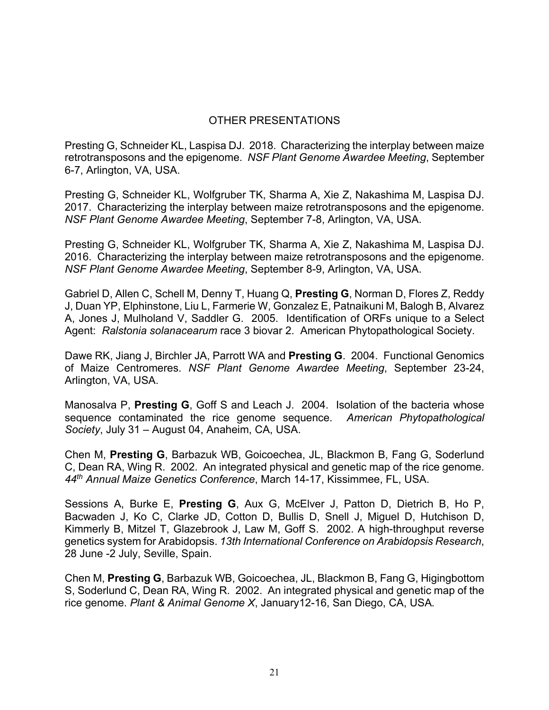## OTHER PRESENTATIONS

Presting G, Schneider KL, Laspisa DJ. 2018. Characterizing the interplay between maize retrotransposons and the epigenome. *NSF Plant Genome Awardee Meeting*, September 6-7, Arlington, VA, USA.

Presting G, Schneider KL, Wolfgruber TK, Sharma A, Xie Z, Nakashima M, Laspisa DJ. 2017. Characterizing the interplay between maize retrotransposons and the epigenome. *NSF Plant Genome Awardee Meeting*, September 7-8, Arlington, VA, USA.

Presting G, Schneider KL, Wolfgruber TK, Sharma A, Xie Z, Nakashima M, Laspisa DJ. 2016. Characterizing the interplay between maize retrotransposons and the epigenome. *NSF Plant Genome Awardee Meeting*, September 8-9, Arlington, VA, USA.

Gabriel D, Allen C, Schell M, Denny T, Huang Q, **Presting G**, Norman D, Flores Z, Reddy J, Duan YP, Elphinstone, Liu L, Farmerie W, Gonzalez E, Patnaikuni M, Balogh B, Alvarez A, Jones J, Mulholand V, Saddler G. 2005. Identification of ORFs unique to a Select Agent: *Ralstonia solanacearum* race 3 biovar 2. American Phytopathological Society.

Dawe RK, Jiang J, Birchler JA, Parrott WA and **Presting G**. 2004. Functional Genomics of Maize Centromeres. *NSF Plant Genome Awardee Meeting*, September 23-24, Arlington, VA, USA.

Manosalva P, **Presting G**, Goff S and Leach J. 2004. Isolation of the bacteria whose sequence contaminated the rice genome sequence. *American Phytopathological Society*, July 31 – August 04, Anaheim, CA, USA.

Chen M, **Presting G**, Barbazuk WB, Goicoechea, JL, Blackmon B, Fang G, Soderlund C, Dean RA, Wing R. 2002. An integrated physical and genetic map of the rice genome. *44th Annual Maize Genetics Conference*, March 14-17, Kissimmee, FL, USA.

Sessions A, Burke E, **Presting G**, Aux G, McElver J, Patton D, Dietrich B, Ho P, Bacwaden J, Ko C, Clarke JD, Cotton D, Bullis D, Snell J, Miguel D, Hutchison D, Kimmerly B, Mitzel T, Glazebrook J, Law M, Goff S. 2002. A high-throughput reverse genetics system for Arabidopsis. *13th International Conference on Arabidopsis Research*, 28 June -2 July, Seville, Spain.

Chen M, **Presting G**, Barbazuk WB, Goicoechea, JL, Blackmon B, Fang G, Higingbottom S, Soderlund C, Dean RA, Wing R. 2002. An integrated physical and genetic map of the rice genome. *Plant & Animal Genome X*, January12-16, San Diego, CA, USA*.*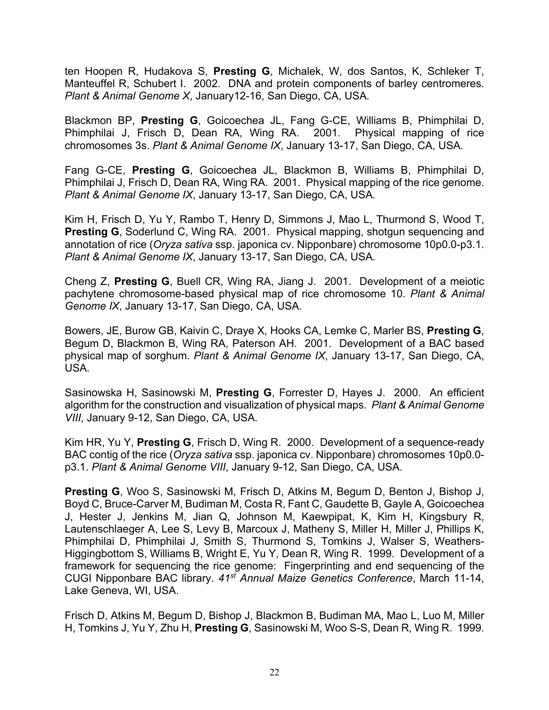ten Hoopen R, Hudakova S, **Presting G**, Michalek, W, dos Santos, K, Schleker T, Manteuffel R, Schubert I. 2002. DNA and protein components of barley centromeres. *Plant & Animal Genome X*, January12-16, San Diego, CA, USA*.*

Blackmon BP, **Presting G**, Goicoechea JL, Fang G-CE, Williams B, Phimphilai D, Phimphilai J, Frisch D, Dean RA, Wing RA. 2001. Physical mapping of rice chromosomes 3s. *Plant & Animal Genome IX*, January 13-17, San Diego, CA, USA*.*

Fang G-CE, **Presting G**, Goicoechea JL, Blackmon B, Williams B, Phimphilai D, Phimphilai J, Frisch D, Dean RA, Wing RA. 2001. Physical mapping of the rice genome. *Plant & Animal Genome IX*, January 13-17, San Diego, CA, USA*.*

Kim H, Frisch D, Yu Y, Rambo T, Henry D, Simmons J, Mao L, Thurmond S, Wood T, **Presting G**, Soderlund C, Wing RA. 2001. Physical mapping, shotgun sequencing and annotation of rice (*Oryza sativa* ssp. japonica cv. Nipponbare) chromosome 10p0.0-p3.1. *Plant & Animal Genome IX*, January 13-17, San Diego, CA, USA*.*

Cheng Z, **Presting G**, Buell CR, Wing RA, Jiang J. 2001. Development of a meiotic pachytene chromosome-based physical map of rice chromosome 10. *Plant & Animal Genome IX*, January 13-17, San Diego, CA, USA*.*

Bowers, JE, Burow GB, Kaivin C, Draye X, Hooks CA, Lemke C, Marler BS, **Presting G**, Begum D, Blackmon B, Wing RA, Paterson AH. 2001. Development of a BAC based physical map of sorghum. *Plant & Animal Genome IX*, January 13-17, San Diego, CA, USA*.*

Sasinowska H, Sasinowski M, **Presting G**, Forrester D, Hayes J. 2000. An efficient algorithm for the construction and visualization of physical maps. *Plant & Animal Genome VIII*, January 9-12, San Diego, CA, USA*.*

Kim HR, Yu Y, **Presting G**, Frisch D, Wing R. 2000. Development of a sequence-ready BAC contig of the rice (*Oryza sativa* ssp. japonica cv. Nipponbare) chromosomes 10p0.0 p3.1. *Plant & Animal Genome VIII*, January 9-12, San Diego, CA, USA*.*

**Presting G**, Woo S, Sasinowski M, Frisch D, Atkins M, Begum D, Benton J, Bishop J, Boyd C, Bruce-Carver M, Budiman M, Costa R, Fant C, Gaudette B, Gayle A, Goicoechea J, Hester J, Jenkins M, Jian Q, Johnson M, Kaewpipat, K, Kim H, Kingsbury R, Lautenschlaeger A, Lee S, Levy B, Marcoux J, Matheny S, Miller H, Miller J, Phillips K, Phimphilai D, Phimphilai J, Smith S, Thurmond S, Tomkins J, Walser S, Weathers-Higgingbottom S, Williams B, Wright E, Yu Y, Dean R, Wing R. 1999. Development of a framework for sequencing the rice genome: Fingerprinting and end sequencing of the CUGI Nipponbare BAC library. *41st Annual Maize Genetics Conference*, March 11-14, Lake Geneva, WI, USA.

Frisch D, Atkins M, Begum D, Bishop J, Blackmon B, Budiman MA, Mao L, Luo M, Miller H, Tomkins J, Yu Y, Zhu H, **Presting G**, Sasinowski M, Woo S-S, Dean R, Wing R. 1999.